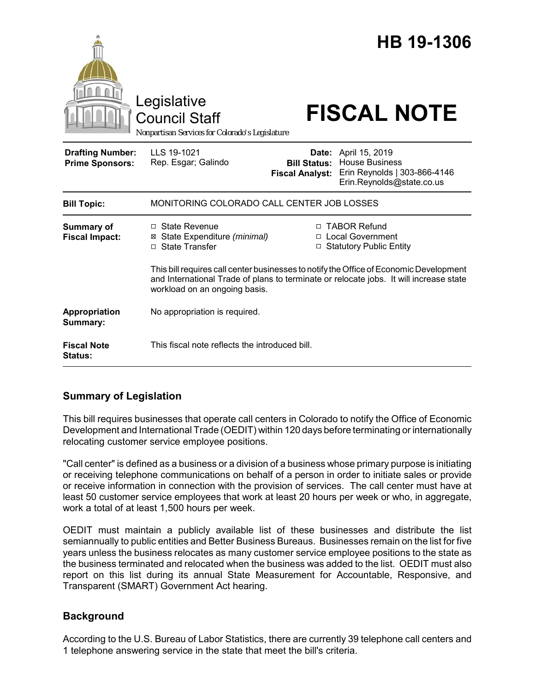|                                                   | Legislative<br><b>Council Staff</b><br>Nonpartisan Services for Colorado's Legislature |                                               | HB 19-1306<br><b>FISCAL NOTE</b>                                                                                                                                 |
|---------------------------------------------------|----------------------------------------------------------------------------------------|-----------------------------------------------|------------------------------------------------------------------------------------------------------------------------------------------------------------------|
| <b>Drafting Number:</b><br><b>Prime Sponsors:</b> | LLS 19-1021<br>Rep. Esgar; Galindo                                                     | <b>Bill Status:</b><br><b>Fiscal Analyst:</b> | <b>Date:</b> April 15, 2019<br><b>House Business</b><br>Erin Reynolds   303-866-4146<br>Erin.Reynolds@state.co.us                                                |
| <b>Bill Topic:</b>                                | MONITORING COLORADO CALL CENTER JOB LOSSES                                             |                                               |                                                                                                                                                                  |
| <b>Summary of</b><br><b>Fiscal Impact:</b>        | □ State Revenue<br>State Expenditure (minimal)<br>⊠<br>□ State Transfer                | $\Box$                                        | □ TABOR Refund<br>□ Local Government<br><b>Statutory Public Entity</b><br>This bill requires call center businesses to notify the Office of Economic Development |
|                                                   | workload on an ongoing basis.                                                          |                                               | and International Trade of plans to terminate or relocate jobs. It will increase state                                                                           |
| Appropriation<br>Summary:                         | No appropriation is required.                                                          |                                               |                                                                                                                                                                  |
| <b>Fiscal Note</b><br><b>Status:</b>              | This fiscal note reflects the introduced bill.                                         |                                               |                                                                                                                                                                  |

# **Summary of Legislation**

This bill requires businesses that operate call centers in Colorado to notify the Office of Economic Development and International Trade (OEDIT) within 120 days before terminating or internationally relocating customer service employee positions.

"Call center" is defined as a business or a division of a business whose primary purpose is initiating or receiving telephone communications on behalf of a person in order to initiate sales or provide or receive information in connection with the provision of services. The call center must have at least 50 customer service employees that work at least 20 hours per week or who, in aggregate, work a total of at least 1,500 hours per week.

OEDIT must maintain a publicly available list of these businesses and distribute the list semiannually to public entities and Better Business Bureaus. Businesses remain on the list for five years unless the business relocates as many customer service employee positions to the state as the business terminated and relocated when the business was added to the list. OEDIT must also report on this list during its annual State Measurement for Accountable, Responsive, and Transparent (SMART) Government Act hearing.

## **Background**

According to the U.S. Bureau of Labor Statistics, there are currently 39 telephone call centers and 1 telephone answering service in the state that meet the bill's criteria.